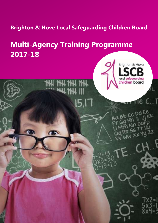**Brighton & Hove Local Safeguarding Children Board** 

# **Multi-Agency Training Programme 2017-18**

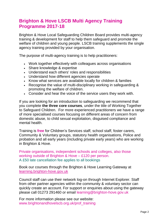### **Brighton & Hove LSCB Multi Agency Training Programme 2017-18**

Brighton & Hove Local Safeguarding Children Board provides multi-agency training & development for staff to help them safeguard and promote the welfare of children and young people. LSCB training supplements the single agency training provided by your organisation.

The purpose of multi-agency training is to help practitioners:

- Work together effectively with colleagues across organisations
- Share knowledge & expertise
- Understand each others' roles and responsibilities
- Understand how different agencies operate
- Know what services are available locally for children & families
- Recognise the value of multi-disciplinary working in safeguarding & promoting the welfare of children.
- Consider and hear the voice of the service users they work with.

If you are looking for an introduction to safeguarding we recommend that you complete **the three core courses**, under the title of Working Together to Safeguard Children. For more experienced practitioners we have a range of more specialised courses focusing on different areas of concern from domestic abuse, to child sexual exploitation, disguised compliance and mental health.

Training is **free** for Children's Services staff, school staff, foster carers, Community & Voluntary groups, statutory health organisations, Police and probation and all early years (including private early years) who are working in Brighton & Hove.

Private organisations, independent schools and colleges, also those working outside of Brighton & Hove – £120 per person. A £50 late cancellation fee applies to all bookings

Book our courses through the Brighton & [Hove Learning Gateway](https://learning.brighton-hove.gov.uk/cpd/portal.asp) at [learning.brighton-hove.gov.uk](https://learning.brighton-hove.gov.uk/cpd/portal.asp?ccid=17) 

Council staff can use their network log-on through Internet Explorer. Staff from other partner agencies within the community & voluntary sector can quickly create an account. For support or enquiries about using the gateway please call 01273 291460 or email [learning@brighton-hove.gov.uk](mailto:learning@brighton-hove.gov.uk)

For more information please see our website: [www.brightonandhovelscb.org.uk/prof\\_training](http://www.brightonandhovelscb.org.uk/prof_training)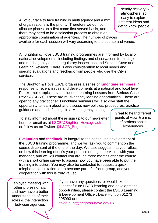All of our face to face training is multi agency and a mix of organisations is the priority. Therefore we do not allocate places on a first come first served basis, and there may need to be a selection process to obtain an appropriate combination of agencies. The number of places

available for each session will vary according to the course and venue.

All Brighton & Hove LSCB training programmes are informed by local or national developments, including findings and observations from single and multi-agency audits, regulatory inspections and Serious Case and Learning Reviews. There is also consideration to local needs and specific evaluations and feedback from people who use the City's services.

The Brighton & Hove LSCB organises a series of **lunchtime seminars** in response to recent issues and developments at a national and local level. For example, topics have included: Learning Lessons from Serious Case Review (SCRs). These are multi-agency leaning opportunities. These are open to any practitioner. Lunchtime seminars will also give staff the opportunity to learn about and discuss new policies, procedures, practice guidance and audit findings in a Multi-agency setting.

To stay informed about these sign up to our newsletter [here,](http://www.brightonandhovelscb.org.uk/register_updates.html) or email us at [LSCB@Brighton-Hove.gov.uk](mailto:LSCB@Brighton-Hove.gov.uk) or follow us on Twitter [@LSCB\\_Brighton.](https://twitter.com/LSCB_Brighton)

Great to hear different points of view & a mix of professional's experiences

**Evaluation** and **feedback,** is integral to the continuing development of the LSCB training programme, and we will ask you to comment on the course & content at the end of the day. We also suggest that you reflect on how this learning effect's your practice during supervision with your manager, and we will contact you around three months after the course with a short online survey to assess how you have been able to put the training into action. You may also be contacted to request a quick telephone consultation, or to become part of a focus group, and your cooperation with this is truly valued.

I enjoyed meeting with other professionals, and now have a better understanding of their roles & the interaction between agencies

If you have any questions, or would like to suggest future LSCB learning and development opportunities, please contact the LSCB Learning & Development Officer, Dave Hunt on 01273 295993 or email [david.hunt@brighton-hove.gov.uk](mailto:david.hunt@brighton-hove.gov.uk)

Friendly delivery & atmosphere, so easy to explore different ideas and get to know people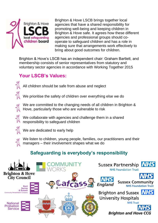

Brighton & Hove LSCB brings together local agencies that have a shared responsibility for promoting well-being and keeping children in Brighton & Hove safe. It agrees how these different agencies and professional groups should cooperate to safeguard children and has a role in making sure that arrangements work effectively to bring about good outcomes for children.

Brighton & Hove's LSCB has an independent chair: Graham Bartlett, and membership consists of senior representatives from statutory and voluntary sector agencies in accordance with Working Together 2015

# **Your LSCB's Values:**



All children should be safe from abuse and neglect

We prioritise the safety of children over everything else we do



We are committed to the changing needs of all children in Brighton & Hove, particularly those who are vulnerable to risk

We collaborate with agencies and challenge them in a shared responsibility to safeguard children



We are dedicated to early help



# **Safeguarding is everybody's responsibility**

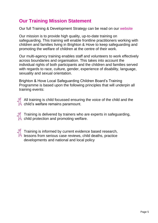# **Our Training Mission Statement**

Our full Training & Development Strategy can be read on our [website](http://www.brightonandhovelscb.org.uk/prof_training.html)

Our mission is to provide high quality, up-to-date training on safeguarding. This training will enable frontline practitioners working with children and families living in Brighton & Hove to keep safeguarding and promoting the welfare of children at the centre of their work.

Our multi-agency training enables staff and volunteers to work effectively across boundaries and organisation. This takes into account the individual rights of both participants and the children and families served with regards to race, culture, gender, experience of disability, language, sexuality and sexual orientation.

Brighton & Hove Local Safeguarding Children Board's Training Programme is based upon the following principles that will underpin all training events:



 $\mathcal A$  All training is child focussed ensuring the voice of the child and the **A** child's welfare remains paramount.

Training is delivered by trainers who are experts in safeguarding, **A** child protection and promoting welfare.



Training is informed by current evidence based research, lessons from serious case reviews, child deaths, practice developments and national and local policy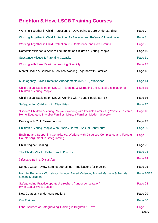# **Brighton & Hove LSCB Training Courses**

| Working Together in Child Protection: 1 - Developing a Core Understanding                                                                                        | Page 7            |
|------------------------------------------------------------------------------------------------------------------------------------------------------------------|-------------------|
| Working Together in Child Protection: 2 - Assessment, Referral & Investigation                                                                                   | Page 8            |
| Working Together in Child Protection: 3 - Conference and Core Groups                                                                                             | Page 9            |
| Domestic Violence & Abuse: The Impact on Children & Young People                                                                                                 | Page 10           |
| <b>Substance Misuse &amp; Parenting Capacity</b>                                                                                                                 | Page 11           |
| Working with Parent's with a Learning Disability                                                                                                                 | Page 12           |
| Mental Health & Children's Services Working Together with Families                                                                                               | Page 13           |
| Multi-agency Public Protection Arrangements (MAPPA) Workshop                                                                                                     | Page 14           |
| Child Sexual Exploitation Day 1: Preventing & Disrupting the Sexual Exploitation of<br><b>Children &amp; Young People</b>                                        | Page 15           |
| Child Sexual Exploitation Day 2: Working with Young People at Risk                                                                                               | Page 16           |
| Safeguarding Children with Disabilities                                                                                                                          | Page 17           |
| "Hidden" Children & Young People - Working with Invisible Families. (Privately Fostered,<br>Home Educated, Traveller Families, Migrant Families, Modern Slavery) | Page 18           |
| Dealing with Child Sexual Abuse                                                                                                                                  | Page 19           |
| Children & Young People Who Display Harmful Sexual Behaviours                                                                                                    | Page 20           |
| Enabling and Supporting Compliance: Working with Disguised Compliance and Forceful<br><b>Counter Argument in Safeguarding</b>                                    | Page 21           |
| <b>Child Neglect Training</b>                                                                                                                                    | Page 22           |
| The Child's World: Reflections in Practice                                                                                                                       | Page 23           |
| Safeguarding in a Digital Age                                                                                                                                    | Page 24           |
| Serious Case Review Seminars/Briefings - Implications for practice                                                                                               | Page 25           |
| Harmful Behaviour Workshops: Honour Based Violence, Forced Marriage & Female<br><b>Genital Mutilation</b>                                                        | Page 26/27        |
| Safeguarding Practice updates/refreshers (under consultation)<br>(With East & West Sussex)                                                                       | Page 28           |
| New Courses (under construction)                                                                                                                                 | Page 29           |
| <b>Our Trainers</b>                                                                                                                                              | Page 30           |
| Other sources of Safeguarding Training in Brighton & Hove                                                                                                        | Page 31<br>Page 6 |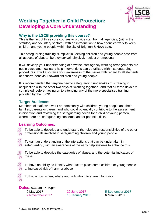

# <span id="page-6-0"></span>**Working Together in Child Protection: Developing a Core Understanding**

#### **Why is the LSCB providing this course?**

This is the first of three core courses to provide staff from all agencies, (within the statutory and voluntary sectors), with an introduction to how agencies work to keep children and young people within the city of Brighton & Hove safe.

This safeguarding training is implicit in keeping children and young people safe from all aspects of abuse,<sup>1</sup> be they sexual, physical, neglect or emotional.

It will develop your understanding of how the inter-agency working arrangements are put in place and how early help interventions can be utilised within safeguarding procedures. It will also raise your awareness of the issues with regard to all elements of abusive behaviour toward children and young people.

It is recommended that anyone new to safeguarding undertakes this training in conjunction with the other two days of "working together", and that all three days are completed, before moving on to attending any of the more specialised training provided by the LSCB.

#### **Target Audience:**

Members of staff, who work predominantly with children, young people and their families, parents or carers, and who could potentially contribute to the assessment, intervention and reviewing the safeguarding needs for a child or young person, where there are safeguarding concerns, and or potential risks.

#### **Learning Outcomes:**

To be able to describe and understand the roles and responsibilities of the other professionals involved in safeguarding children and young people



To gain an understanding of the interactions that can be undertaken in safeguarding, with an awareness of the early help systems to enhance this.



To be able to describe the categories of abuse, and the potential indicators of these



To have an ability, to identify what factors place some children or young people at increased risk of harm or abuse



To know how, when, where and with whom to share information

**Dates**: 9.30am - 4.30pm 9 May 2017 20 June 2017 5 September 2017 2 November 2017 10 January 2018 6 March 2018

<sup>&</sup>lt;u>.</u> <sup>1</sup> LSCB Business Plan, priority area 1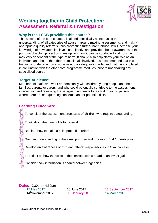

### <span id="page-7-0"></span>**Working together in Child Protection: Assessment, Referral & Investigation**

#### **Why is the LSCB providing this course?**

This second of the core courses, is aimed specifically at increasing the understanding, of all categories of abuse<sup>2</sup>, around making assessments, and making appropriate quality referrals, thus preventing further harm/abuse. It will increase your knowledge of how agencies investigate jointly, and provide a better awareness of the purpose of a child protection investigation, how it can be conducted and how this may vary dependant of the type of harm. It should also help clarify your role as an individual and that of the other professionals involved. It is recommended that this training is undertaken by anyone new to a safeguarding role, and that it is completed in conjunction with the other core programme modules, prior to undertaking any specialised course.

#### **Target Audience:**

Members of staff, who work predominantly with children, young people and their families, parents or carers, and who could potentially contribute to the assessment, intervention and reviewing the safeguarding needs for a child or young person, where there are safeguarding concerns, and or potential risks.

#### **Learning Outcomes:**

To consider the assessment processes of children who require safeguarding.

Think about the thresholds for referral.

Be clear how to make a child protection referral.

Gain an understanding of the aims, purpose and process of S.47 Investigation.

Develop an awareness of own and others' responsibilities in S.47 process.

To reflect on how the voice of the service user is heard in an investigation.

Consider how information is shared between agencies

**Dates:** 9.30am - 4.30pm 17 May 2017 28 June 2017 13 September 2017 14<sup>t</sup>November 2017 10 January 2018 14 March 2018

 2 LSCB Business Plan priority areas 1 & 2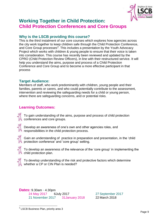

### <span id="page-8-0"></span>**Working Together in Child Protection: Child Protection Conferences and Core Groups**

#### **Why is the LSCB providing this course?**

This is the third instalment of our core courses which explores how agencies across the city work together to keep children safe through the Child Protection Conference, and Core Group processes $3$ . This includes a presentation by the Youth Advocacy Project which works with children & young people to ensure that their voice is taken into consideration. This course has recently been reviewed and updated by the CPRO (Child Protection Review Officers), in line with their restructured service. It will help you understand the aims, purpose and process of a Child Protection Conference and Core Group and to become a more effective participant in that process

#### **Target Audience:**

Members of staff, who work predominantly with children, young people and their families, parents or carers, and who could potentially contribute to the assessment, intervention and reviewing the safeguarding needs for a child or young person, where there are safeguarding concerns, and or potential risks.

### **Learning Outcomes:**

To gain understanding of the aims, purpose and process of child protection conferences and core groups.

Develop an awareness of one's own and other agencies roles, and responsibilities in the child protection process.



Gain an understanding of practice in preparation and presentation, in the 'child protection conference' and 'core group' setting.



To develop an awareness of the relevance of the 'core group' in implementing the child protection plan.



To develop understanding of the risk and protective factors which determine whether a CP or CIN Plan is needed?

**Dates:** 9.30am - 4.30pm 24 May 2017 6July 2017 27 September 2017

21 November 2017 31January 2018 22 March 2018

 3 LSCB Business Plan, priority area 3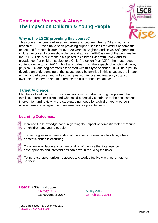### <span id="page-9-0"></span>**Domestic Violence & Abuse: The impact on Children & Young People**



### **Why is the LSCB providing this course?**

This course has been delivered in partnership between the LSCB and our local branch of [RISE,](http://www.riseuk.org.uk/) who have been providing support services for victims of domestic abuse and for their children for over 20 years in Brighton and Hove. Safeguarding children exposed to domestic violence and abuse (DV&A) is one of the priorities for the LSCB. This is due to the risks posed to children living with DV&A and its prevalence. For children subject to a Child Protection Plan (CPP) the most frequent contributory factor is DV&A. This training deals with the aspects of emotional harm, physical risk and neglect often associated with this type of abuse<sup>4</sup>. It will help you to develop an understanding of the issues faced by families in this situation, the impact of this kind of abuse, and will also signpost you to local multi-agency support available to intervene and thus reduce the risk to those impacted<sup>5</sup>.

#### **Target Audience:**

Members of staff, who work predominantly with children, young people and their families, parents or carers, and who could potentially contribute to the assessment, intervention and reviewing the safeguarding needs for a child or young person, where there are safeguarding concerns, and or potential risks.

### **Learning Outcomes:**

Increase the knowledge base, regarding the impact of domestic violence/abuse on children and young people.



To gain a greater understanding of the specific issues families face, where domestic abuse is occurring.



To widen knowledge and understanding of the role that interagency developments and interventions can have in reducing the risks.



<u>.</u>

To increase opportunities to access and work effectively with other agency partners.

**Dates:** 9.30am - 4.30pm 16 May 2017 **5 July 2017** 16 November 2017 28 February 2018

<sup>4</sup> LSCB Business Plan, priority area 1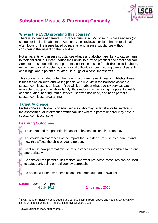

### <span id="page-10-0"></span>**[Substance Misuse & Parenting Capacity](#page-10-0)**

#### **Why is the LSCB providing this course?**

There is evidence of parental substance misuse in 57% of serious case reviews (of serious or fatal child abuse)<sup>6</sup>. Serious Case Reviews highlight that professionals often focus on the issues faced by parents who misuse substances without considering the impact on their children.

Not all parents who misuse substances (drugs and alcohol) are likely to cause harm to their children, but it can reduce their ability to provide practical and emotional care. Some of the serious effects of parental substance misuse for children include abuse, neglect, emotional problems, educational difficulties, being young carers of parents or siblings, and a potential to later use drugs or alcohol themselves.

This course is included within the training programme as it clearly highlights these issues facing children and young people who live within the households where substance misuse is an issue.<sup>7</sup> You will learn about what agency services are available to support the whole family, thus reducing or removing the potential risk/s of abuse. Also, hearing from a service user who has used, and been part of a substance misuse programme.

#### **Target Audience:**

Professionals in children's or adult services who may undertake, or be involved in the assessment or intervention within families where a parent or carer may have a substance misuse issue.

#### **Learning Outcomes:**

To understand the potential impact of substance misuse in pregnancy.



To provide an awareness of the impact that substance misuse by a parent, and how this affects the child or young person.

To discuss how parental misuse of substances may affect their abilities to parent appropriately.

To consider the potential risk factors, and what protective measures can be used to safeguard, using a multi agency approach.

To enable a fuller awareness of local treatment/support is available.

**Dates:** 9.30am - 2.30pm 4 July 2017

24<sup>t</sup> January 2018

 6 DCSF (2008) Analysing child deaths and serious injury through abuse and neglect: what can we learn? A biennial analysis of serious case reviews 2003-2005.

<sup>&</sup>lt;sup>7</sup> LSCB Business Plan, priority area 1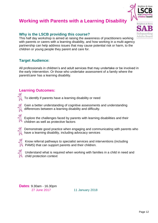

### <span id="page-11-0"></span>**[Working with Parents with a Learning Disability](#page-11-0)**

#### **Why is the LSCB providing this course?**

This half day workshop is aimed at raising the awareness of practitioners working with parents or carers with a learning disability, and how working in a multi-agency partnership can help address issues that may cause potential risk or harm, to the children or young people they parent and care for.

### **Target Audience:**

All professionals in children's and adult services that may undertake or be involved in the early intervention. Or those who undertake assessment of a family where the parent/carer has a learning disability.

#### **Learning Outcomes:**

To identify if parents have a learning disability or need



Gain a better understanding of cognitive assessments and understanding differences between a learning disability and difficulty.

Explore the challenges faced by parents with learning disabilities and their children as well as protective factors



Demonstrate good practice when engaging and communicating with parents who have a learning disability, including advocacy services



Know referral pathways to specialist services and interventions (including PAMS) that can support parents and their children.



Understand what is required when working with families in a child in need and child protection context

**Dates**: 9.30am - 16.30pm 27 June 2017 11 January 2018

<span id="page-11-1"></span>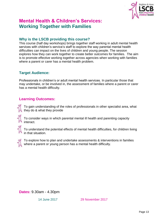

# **Mental Health & Children's Services: Working Together with Families**

#### **Why is the LSCB providing this course?**

This course (half day workshops) brings together staff working in adult mental health services with children's service's staff to explore the way parental mental health difficulties can impact on the lives of children and young people. The session explores how they can work together to create better outcomes for families. The aim is to promote effective working together across agencies when working with families where a parent or carer has a mental health problem.

#### **Target Audience:**

Professionals in children's or adult mental health services. In particular those that may undertake, or be involved in, the assessment of families where a parent or carer has a mental health difficulty.

#### **Learning Outcomes:**

To gain understanding of the roles of professionals in other specialist area, what they do & what they provide

To consider ways in which parental mental ill health and parenting capacity interact.

To understand the potential effects of mental health difficulties, for children living in that situation.



To explore how to plan and undertake assessments & interventions in families where a parent or young person has a mental health difficulty.

**Dates:** 9.30am - 4.30pm

14 June 2017 29 November 2017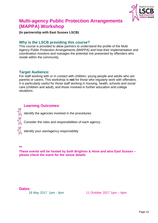

### <span id="page-13-0"></span>**[Multi-agency Public Protection Arrangements](#page-13-0)  [\(MAPPA\) Workshop](#page-13-0)**

**(In partnership with East Sussex LSCB)**

#### **Why is the LSCB providing this course?**

This course is provided to allow partners to understand the profile of the Multi Agency Public Protection Arrangements (MAPPA) and how their implementation and coordination monitors and manages the potential risk presented by offenders who reside within the community.

#### **Target Audience:**

For staff working with or in contact with children, young people and adults who are parents or carers. This workshop is **not** for those who regularly work with offenders. It is particularly useful for those staff working in housing, health, schools and social care (children and adult), and those involved in further education and college situations.

#### **Learning Outcomes:**

Identify the agencies involved in the procedures.

Consider the roles and responsibilities of each agency.

Identify your own/agency responsibility

#### **\*\***

**These events will be hosted by both Brighton & Hove and also East Sussex – please check the event for the venue details**

#### **Dates:**

18 May 2017 1pm - 4pm 11 October 2017 1pm – 4pm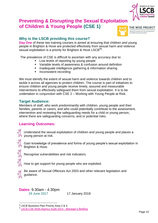

### <span id="page-14-0"></span>**[Preventing & Disrupting the Sexual Exploitation](#page-14-0)  [of Children & Young People](#page-14-0) (CSE 1)**



### **Why is the LSCB providing this course?**

**Day One** of these two training courses is aimed at ensuring that children and young people in Brighton & Hove are protected effectively from sexual harm and violence sexual exploitation is a priority for Brighton & Hove LSCB<sup>89</sup>.

The prevalence of CSE is difficult to ascertain with any accuracy due to:

- Low levels of reporting by young people
- Variable levels of awareness & confusion around definition
- **Inadequate intelligence gathering & information sharing**
- **Inconsistent recording**

We must identify the extent of sexual harm and violence towards children and to tackle it across all agencies to protect children. The course is part of initiatives to ensure children and young people receive timely, assured and measurable interventions to effectively safeguard them from sexual exploitation. It is to be undertaken in conjunction with CSE 2 – Working with Young People at Risk.

#### **Target Audience:**

Members of staff, who work predominantly with children, young people and their families, parents or carers, and who could potentially contribute to the assessment, intervention and reviewing the safeguarding needs for a child or young person, where there are safeguarding concerns, and or potential risks.

### **Learning Outcomes:**

Understand the sexual exploitation of children and young people and places a young person at risk.

Gain knowledge of prevalence and forms of young people's sexual exploitation in Brighton & Hove.

Recognise vulnerabilities and risk indicators.

How to get support for young people who are exploited.



Be aware of Sexual Offences Act 2003 and other relevant legislation and guidance.

**Dates:** 9.30am - 4.30pm 29 June 2017 17 January 2018

<sup>&</sup>lt;u>.</u> <sup>8</sup> LSCB Business Plan Priority Area 2 & 4

<sup>&</sup>lt;sup>9</sup> [LSCB CSE Multi-Agency Audit 2014 -](http://www.brightonandhovelscb.org.uk/wp-content/uploads/Learning-from-QA-CSE.pdf) Manager's Briefing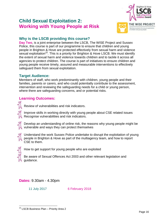### <span id="page-15-0"></span>**Child Sexual Exploitation 2: Working with Young People at Risk**



### **Why is the LSCB providing this course?**

**Day Two**, is a joint enterprise between the LSCB, The WISE Project and Sussex Police, this course is part of our programme to ensure that children and young people in Brighton & Hove are protected effectively from sexual harm and violence sexual exploitation<sup>10</sup>. This is a priority for Brighton & Hove LSCB. We must identify the extent of sexual harm and violence towards children and to tackle it across all agencies to protect children. The course is part of initiatives to ensure children and young people receive timely, assured and measurable interventions to effectively safeguard them from sexual exploitation.

#### **Target Audience:**

Members of staff, who work predominantly with children, young people and their families, parents or carers, and who could potentially contribute to the assessment, intervention and reviewing the safeguarding needs for a child or young person, where there are safeguarding concerns, and or potential risks.

### **Learning Outcomes:**

Review of vulnerabilities and risk indicators.

Improve skills in working directly with young people about CSE related issues Recognise vulnerabilities and risk indicators.

Develop an understanding of online risk, the reasons why young people might be vulnerable and ways they can protect themselves



Understand the work Sussex Police undertake to disrupt the exploitation of young people in Brighton & Hove as part of the multiagency team, and how to report CSE to them.



How to get support for young people who are exploited

Be aware of Sexual Offences Act 2003 and other relevant legislation and guidance.

### **Dates:** 9.30am - 4.30pm

11 July 2017 6 February 2018

<sup>1</sup> <sup>10</sup> LSCB Business Plan - Priority Area 2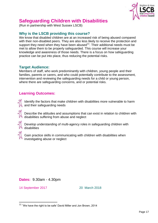

# <span id="page-16-0"></span>**[Safeguarding Children with Disabilities](#page-16-0)**

(Run in partnership with West Sussex LSCB)

#### **Why is the LSCB providing this course?**

We know that disabled children are at an increased risk of being abused compared with their non-disabled peers. They are also less likely to receive the protection and support they need when they have been abused $11$ . Their additional needs must be met to allow them to be properly safeguarded. This course will increase your knowledge and awareness of those needs. There is a focus on how safeguarding practice can be put into place, thus reducing the potential risks.

#### **Target Audience:**

Members of staff, who work predominantly with children, young people and their families, parents or carers, and who could potentially contribute to the assessment, intervention and reviewing the safeguarding needs for a child or young person, where there are safeguarding concerns, and or potential risks.

#### **Learning Outcomes:**

Identify the factors that make children with disabilities more vulnerable to harm and their safeguarding needs

Describe the attitudes and assumptions that can exist in relation to children with disabilities suffering from abuse and neglect



Develop understanding of multi-agency roles in safeguarding children with disabilities



Gain practice skills in communicating with children with disabilities when investigating abuse or neglect

#### **Dates:** 9.30am - 4.30pm

14 September 2017 20 March 2018

 11 'We have the right to be safe' David Miller and Jon Brown, 2014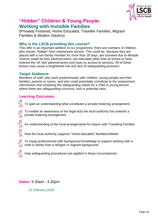

# <span id="page-17-0"></span>**"Hidden" Children & Young People: Working with Invisible Families**

(Privately Fostered, Home Educated, Traveller Families, Migrant Families & Modern Slavery)

#### **Why is the LSCB providing this course?**

This offer is an important addition to our programme, there are numbers of children, who remain "hidden" from mainstream service. This could be because they are placed with a non-family member for more than 28 days, are transient due to lifestyle choices made by their parents/carers, are educated other than at school or have entered the UK with parents/carers and have no access to services. All of these factors may cause a heightened risk and lack of safeguarding provision.

#### **Target Audience:**

Members of staff, who work predominantly with children, young people and their families, parents or carers, and who could potentially contribute to the assessment, intervention and reviewing the safeguarding needs for a child or young person, where there are safeguarding concerns, and or potential risks.

#### **Learning Outcomes:**

To gain an understanding what constitutes a private fostering arrangement.

To enable an awareness of the legal duty the local authority has towards a private fostering arrangement

An understanding of the local arrangements for liaison with Travelling Families

How the local authority supports "home educated" families/children



To equip professionals with background knowledge to support working with a child or family from a refugee or migrant background

How safeguarding procedures are applied in these circumstances

**Dates:** 9.30am - 4.30pm

21 February 2018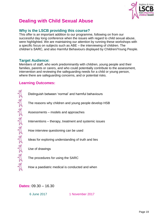

# <span id="page-18-0"></span>**Dealing with Child Sexual Abuse**

#### **Why is the LSCB providing this course?**

This offer is an important addition to our programme, following on from our successful day long conference when the issues with regard to child sexual abuse, were highlighted. We are maintaining our attention by running these workshops with a specific focus on subjects such as ABE – the interviewing of children. The children's SARC, and also Harmful Behaviours displayed by Children/Young People.

#### **Target Audience:**

Members of staff, who work predominantly with children, young people and their families, parents or carers, and who could potentially contribute to the assessment, intervention and reviewing the safeguarding needs for a child or young person, where there are safeguarding concerns, and or potential risks.

#### **Learning Outcomes:**

ARK ARK ARK ARK ARK

Distinguish between 'normal' and harmful behaviours The reasons why children and young people develop HSB Assessments – models and approaches Interventions – therapy, treatment and systemic issues How interview questioning can be used Ideas for exploring understanding of truth and lies Use of drawings

The procedures for using the SARC

How a paediatric medical is conducted and when

**Dates:** 09.30 – 16.30

6 June 2017 1 November 2017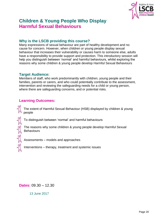

# **Children & Young People Who Display Harmful Sexual Behaviours**

#### **Why is the LSCB providing this course?**

Many expressions of sexual behaviour are part of healthy development and no cause for concern. However, when children or young people display sexual behaviour that increases their vulnerability or causes harm to someone else, adults have a responsibility to provide support and protection. This introductory session will help you distinguish between 'normal' and harmful behaviours, whilst exploring the reasons why some children & young people develop Harmful Sexual Behaviours

#### **Target Audience:**

Members of staff, who work predominantly with children, young people and their families, parents or carers, and who could potentially contribute to the assessment, intervention and reviewing the safeguarding needs for a child or young person, where there are safeguarding concerns, and or potential risks.

#### **Learning Outcomes:**

The extent of Harmful Sexual Behaviour (HSB) displayed by children & young people

To distinguish between 'normal' and harmful behaviours

The reasons why some children & young people develop Harmful Sexual **Behaviours** 

Assessments – models and approaches

Interventions – therapy, treatment and systemic issues

**Dates:** 09.30 – 12.30

13 June 2017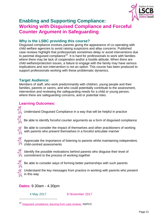

### <span id="page-20-0"></span>**Enabling and Supporting Compliance: Working with Disguised Compliance and Forceful Counter Argument in Safeguarding**

#### **Why is the LSBC providing this course?**

Disguised compliance involves parents giving the appearance of co-operating with child welfare agencies to avoid raising suspicions and allay concerns. Published case reviews highlight that professionals sometimes delay or avoid interventions due to parental disguised compliance<sup>12</sup>. It is hard for professionals to work with families where there may be lack of cooperation and/or a hostile attitude. When there are child welfare/protection issues, a failure to engage with the family may have serious implications and non-intervention is not an option. This course has been produced to support professionals working with these problematic dynamics.

#### **Target Audience:**

Members of staff, who work predominantly with children, young people and their families, parents or carers, and who could potentially contribute to the assessment, intervention and reviewing the safeguarding needs for a child or young person, where there are safeguarding concerns, and or potential risks.

#### **Learning Outcomes:**

Understand Disguised Compliance in a way that will be helpful in practice

Be able to identify forceful counter arguments as a form of disguised compliance

Be able to consider the impact of themselves and other practitioners of working with parents who present themselves in a forceful articulate manner



Appreciate the importance of listening to parents whilst maintaining independent, child-centred assessments



<u>.</u>

Identify the possible motivations behind parents who disguise their level of commitment to the process of working together

Be able to consider ways of forming better partnerships with such parents

Understand the key messages from practice in working with parents who present in this way

#### **Dates:** 9.30am - 4.30pm

<span id="page-20-1"></span>

4 May 2017 9 November 2017

<sup>12</sup> [Disguised compliance: learning from case reviews](https://www.nspcc.org.uk/preventing-abuse/child-protection-system/case-reviews/learning/disguised-compliance/), NSPCC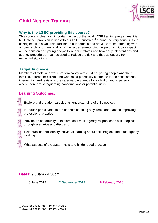

# **Child Neglect Training**

#### **Why is the LSBC providing this course?**

This course is clearly an important aspect of the local LCSB training programme it is built into our provision in line with our LSCB priorities<sup>13</sup> around the very serious issue of Neglect. It is a valuable addition to our portfolio and provides those attending with an over arching understanding of the issues surrounding neglect, how it can impact on the children and young people to whom it relates and how early interventions and agency procedures<sup>14</sup> can be used to reduce the risk and thus safeguard from neglectful situations.

#### **Target Audience:**

Members of staff, who work predominantly with children, young people and their families, parents or carers, and who could potentially contribute to the assessment, intervention and reviewing the safeguarding needs for a child or young person, where there are safeguarding concerns, and or potential risks.

#### **Learning Outcomes:**

Explore and broaden participants' understanding of child neglect

Introduce participants to the benefits of taking a systems approach to improving professional practice

Provide an opportunity to explore local multi-agency responses to child neglect through scenarios and discussion



1

Help practitioners identify individual learning about child neglect and multi-agency working

What aspects of the system help and hinder good practice.

#### **Dates:** 9.30am - 4.30pm

8 June 2017 12 September 2017 8 February 2018

<sup>&</sup>lt;sup>13</sup> LSCB Business Plan – Priority Area 1

<sup>&</sup>lt;sup>14</sup> LSCB Business Plan - Priority Area 4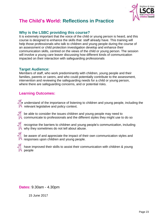

# **The Child's World: Reflections in Practice**

#### **Why is the LSBC providing this course?**

It is extremely important that the voice of the child or young person is heard, and this course is designed to enhance the skills that staff already have. This training will help those professionals who talk to children and young people during the course of an assessment or child protection investigation develop and enhance their communication skills, centred on the views of the child or young person. The session will involve a young care leaver discussing how different kinds of communication impacted on their interaction with safeguarding professionals

#### **Target Audience:**

Members of staff, who work predominantly with children, young people and their families, parents or carers, and who could potentially contribute to the assessment, intervention and reviewing the safeguarding needs for a child or young person, where there are safeguarding concerns, and or potential risks.

#### **Learning Outcomes:**

 understand of the importance of listening to children and young people, including the relevant legislative and policy context.

be able to consider the issues children and young people may need to communicate to professionals and the different styles they might use to do so



recognise the barriers to children and young people's communication, including why they sometimes do not tell about abuse.

be aware of and appreciate the impact of their own communication styles and responses upon children and young people.

have improved their skills to assist their communication with children & young people

**Dates:** 9.30am - 4.30pm

15 June 2017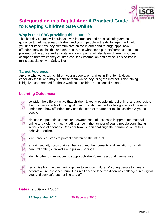

### **Safeguarding in a Digital Age: A Practical Guide to Keeping Children Safe Online**

#### **Why is the LSBC providing this course?**

This half day course will equip you with information and practical safeguarding guidance to help safeguard children and young people in the digital age. It will help you understand how they communicate on the internet and through apps, how offenders may exploit this and other risks, and what steps parents/carers can take to prevent online abuse and exploitation. Participants will also learn different sources of support from which they/children can seek information and advice. This course is run is association with Safety Net

#### **Target Audience:**

Anyone who works with children, young people, or families in Brighton & Hove, especially those who may supervise them whilst they using the internet. This training is highly recommended for those working in children's residential homes.

#### **Learning Outcomes:**

consider the different ways that children & young people interact online, and appreciate the positive aspects of this digital communication as well as being aware of the risks understand how offenders may use the internet to target or exploit children & young people

discuss the potential connection between ease of access to inappropriate material online and violent crime, including a rise in the number of young people committting serious sexual offences. Consider how we can challenge the normalisation of this behaviour online.



learn practical steps to protect children on the internet



explain security steps that can be used and their benefits and limitations, including parental settings, firewalls and privacy settings



identify other organisations to support children/parents around internet use



recognise how we can work together to support children & young people to have a positive online presence, build their resiliance to face the differenc challenges in a digital age, and stay safe both online and off.

#### **Dates:** 9.30am - 1.30pm

14 September 2017 20 February 2018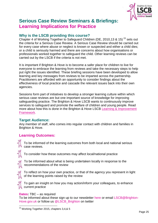

### <span id="page-24-0"></span>**[Serious Case Review Seminars](#page-24-0) & Briefings: Learning Implications for Practice**

#### **Why is the LSCB providing this course?**

Chapter 4 of Working Together to Safeguard Children (DE, 2010,13 & 15) <sup>15</sup> sets out the criteria for a Serious Case Review. A Serious Case Review should be carried out for every case where abuse or neglect is known or suspected and either a child dies; or a child is seriously harmed and there are concerns about how organisations or professionals worked together to safeguard the child. Other learning reviews can be carried out by the LSCB if the criteria is not met.

It is important if Brighton & Hove is to become a safer place for children to live for everyone to embrace the learning from reviews and take the necessary steps to help put right the issues identified. These briefing sessions have been developed to allow learning and key messages from reviews to be imparted across the partnership. Practitioners are afforded with an opportunity to consider findings about the effectiveness of local practice and cascade the relevant issues back into their own agencies.

Sessions form part of initiatives to develop a stronger learning culture within which serious case reviews are but one important source of knowledge for improving safeguarding practice. The Brighton & Hove LSCB wants to continuously improve services to safeguard and promote the welfare of children and young people. Read more about how this is done in the Brighton & Hove LSCB Learning & [Improvement](http://www.brightonandhovelscb.org.uk/wp-content/uploads/UPDATED-Learning-and-Improvement-Framework-BH-LSCB-FINAL-VERSION-MAY-2015-v1.pdf)  [Framework.](http://www.brightonandhovelscb.org.uk/wp-content/uploads/UPDATED-Learning-and-Improvement-Framework-BH-LSCB-FINAL-VERSION-MAY-2015-v1.pdf)

#### **Target Audience:**

Any member of staff, who comes into regular contact with children and families in Brighton & Hove.

#### **Learning Outcomes:**



To be informed of the learning outcomes from both local and national serious case reviews.

To consider how these outcomes may affect local/national practice



To be informed about what is being undertaken locally in response to the recommendations of the review



To reflect on how your own practice, or that of the agency you represent in light of the learning points raised by the review



To gain an insight on how you may action/inform your colleagues, to enhance current practice

#### **Dates:** TBC – as required

To be informed about these sign up to our newsletter [here](http://www.brightonandhovelscb.org.uk/register_updates.html) or email [LSCB@Brighton-](mailto:LSCB@Brighton-Hove.gov.uk)[Hove.gov.uk](mailto:LSCB@Brighton-Hove.gov.uk) or follow us [@LSCB\\_Brighton](https://twitter.com/LSCB_Brighton) on twitter

<sup>1</sup> <sup>15</sup> Working Together 2015, chapters 3,4,& 5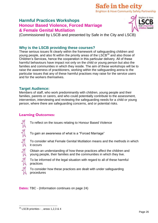### Safe in the city **Brighton & Hove Community Safety Partnership**

### <span id="page-25-0"></span>**Harmful Practices Workshops Honour Based Violence, Forced Marriage & Female Genital Mutilation**



(Commissioned by LSCB and presented by Safe in the City and LSCB)

#### **Why is the LSCB providing these courses?**

These serious issues fit clearly within the framework of safeguarding children and young people, and also fit within the priority areas of the LSCB<sup>16</sup> and also those of Children's Services, hence the cooperation in this particular delivery. All of these harmful behaviours have impact not only on the child or young person but also the families and communities in which they reside. The aim of these workshops will be to raise the awareness of practitioners, working within the safeguarding arena to the particular issues that any of these harmful practises may raise for the service users and for the workers themselves.

#### **Target Audience:**

Members of staff, who work predominantly with children, young people and their families, parents or carers, and who could potentially contribute to the assessment, intervention, interviewing and reviewing the safeguarding needs for a child or young person, where there are safeguarding concerns, and or potential risks.

#### **Learning Outcomes:**

 $28$ 

To reflect on the issues relating to Honour Based Violence

To gain an awareness of what is a "Forced Marriage"

To consider what Female Genital Mutilation means and the methods in which it occurs

Obtain an understanding of how these practices affect the children and young people, their families and the communities in which they live.

To be informed of the legal situation with regard to all of these harmful practices

To consider how these practices are dealt with under safeguarding procedures

**Dates:** TBC - (Information continues on page 24)

<sup>1</sup>  $16$  LSCB priorities - , areas 1,2,3 & 4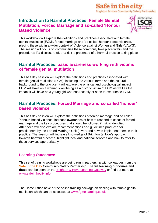### Safe in the city **Brighton & Hove Community Safety Partnership**

### **Introduction to Harmful Practices: Female Genital Mutilation, Forced Marriage and so-called 'Honour' Based Violence**



This workshop will explore the definitions and practices associated with female genital mutilation (FGM), forced marriage and 'so called' honour based violence, placing these within a wider context of Violence against Women and Girls (VAWG). The session will focus on communities these commonly take place within and the procedures if a disclosure of, or a risk is presented of a harmful practice taking place.

### **Harmful Practices: basic awareness working with victims of female genital mutilation**

This half day session will explore the definitions and practices associated with female genital mutilation (FGM), including the various forms and the cultural background to the practice. It will explore the physical and psychological impact FGM will have on a woman's wellbeing as a historic victim of FGM as well as the impact it will have on a young girl who has recently or soon to experience FGM.

### **Harmful Practices: Forced Marriage and so called 'honour' based violence**

This half day session will explore the definitions of forced marriage and so called 'honour' based violence, increase awareness of how to respond to cases of forced marriage and the key procedures that should be followed if risk is identified. Attendees will also explore recommendations and guidelines produced for practitioners by the Forced Marriage Unit (FMU) and how to implement them in their practice. The session will increase knowledge of Brighton & Hove's approach towards harmful practices, highlight local and national services and how to refer to these services appropriately.

#### **Learning Outcomes:**

This set of training workshops are being run in partnership with colleagues from the **Safe in the City** Community Safety Partnership. The full **learning outcomes** and **dates** can be seen on the [Brighton & Hove Learning Gateway](https://learning.brighton-hove.gov.uk/) or find out more at [www.safeinthecity.info](http://www.safeinthecity.info/)

The Home Office have a free online training package on dealing with female genital mutilation which can be accessed at [www.fgmelearning.co.uk](http://www.fgmelearning.co.uk/)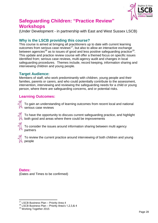

# **Safeguarding Children: "Practice Review" Workshops**

(Under Development - in partnership with East and West Sussex LSCB)

### **Why is the LSCB providing this course?**

This course is aimed at bringing all practitioners up to date with current learning outcomes from serious case reviews<sup>17</sup>, but also to allow an interactive exchange between agencies<sup>18</sup> as to issues of good and less positive safeguarding practice<sup>19</sup>. This update and practice review course will offer a themed focus on specific issues identified from; serious case reviews, multi-agency audit and changes in local safeguarding procedures. Themes include, record keeping, information sharing and interviewing children and young people.

#### **Target Audience:**

Members of staff, who work predominantly with children, young people and their families, parents or carers, and who could potentially contribute to the assessment, intervention, interviewing and reviewing the safeguarding needs for a child or young person, where there are safeguarding concerns, and or potential risks.

#### **Learning Outcomes:**

To gain an understanding of learning outcomes from recent local and national serious case reviews

To have the opportunity to discuss current safeguarding practice, and highlight both good and areas where there could be improvements

To consider the issues around information sharing between multi agency partners



To review the current practice around interviewing of both children and young people

#### **Dates:**

<u>.</u>

(Dates and Times to be confirmed)

<sup>&</sup>lt;sup>17</sup> LSCB Business Plan - Priority Area 4

<sup>18</sup> LSCB Business Plan – Priority Area's 1,2,3,& 4

<sup>&</sup>lt;sup>19</sup> Working Together 2015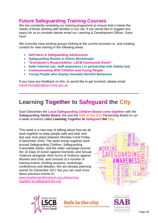# **Future Safeguarding Training Courses**

We are constantly reviewing our training programme to ensure that it meets the needs of those working with families in our city. If you would like to suggest any topics for us to consider please email our Learning & Development Officer, Dave **Hunt** 

We currently have working groups looking at the current provision or, and creating content for new training in the following areas:

- **Self-Harm & Safeguarding Adolescents**
- **Safeguarding Review & Inform Workshop/s**
- **"Everybody's Responsibility: LSCB Community Event".**
- **Safer Internet use, staff awareness ( in partnership with Safety-net)**
- **Communicating With Children and Young People**
- **Young People who display Sexually Harmful Behaviour**

If you have any feedback on this, or would like to get involved, please email [David.Hunt@brighton-hove.gov.uk](mailto:David.Hunt@brighton-hove.gov.uk)

# **Learning Together to Safeguard the City**

Each December the **Local Safeguarding Children Board come together** with the **Safeguarding Adults Board**, the and the **Safe in the City** Partnership Board to run a week of events called **Learning Together to Safeguard the City.** 

This week is a new way of talking about how we all work together to keep people safe and well, and last year took place between Monday 5 and Friday 9 December 2016. The week brings together work around Safeguarding Children, Safeguarding Vulnerable Adults, and the wider campaign around the 16 Days of Action against Domestic and Sexual Violence alongside other forms of Violence against Women and Girls, and consists of a number of training events, briefing sessions, workshops, conferences and debates. We are already planning events for December 2017 but you can read more about previous events at

[www.brightonandhovelscb.org.uk/learning](http://www.brightonandhovelscb.org.uk/learning-together-to-safeguard-the-city)[together-to-safeguard-the-city](http://www.brightonandhovelscb.org.uk/learning-together-to-safeguard-the-city)





Safe in the city

Brighton & Hove Community Safety Partnership

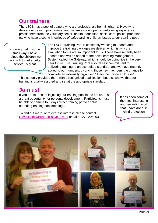# **Our trainers**

The LSCB has a pool of trainers who are professionals from Brighton & Hove who deliver our training programme, and we are always open to welcoming experienced practitioners from the voluntary sector, health, education, social care, police, probation etc who have a sound knowledge of safeguarding children issues to our training pool.

Knowing that in some small way, I have helped the children we work with to get a better service, is great

The LSCB Training Pool is constantly working to update and improve the training packages we deliver, which is why the evaluation forms are so important to us. These have recently been updated and will be added to the new Learning Management System called the Gateway, which should be going live in the very near future. The Training Pool also takes it commitment to delivering training to an accredited standard, and we have recently added to our numbers, by giving those new members the chance to complete an externally organised "Train the Trainers Course".

This not only provided them with a recognised qualification, but also shows that our training is quality assured and set at the appropriate standard.

# **Join us!**

If you are interested in joining our training pool in the future, it is a great opportunity for personal development. Participants must be able to commit to 3 days direct training per year plus attending training pool meetings.

To find out more, or to express interest, please contact [David.Hunt@Brighton-hove.gov.uk](mailto:David.Hunt@Brighton-hove.gov.uk) or call 01273 295993. It has been some of the most interesting and rewarding work that I have done, in child protection

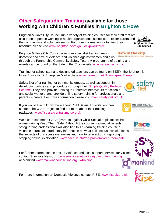### <span id="page-30-0"></span>**Other Safeguarding Training available for those working with Children & Families in Brighton & Hove**

Brighton & Hove City Council run a variety of training courses for their staff that are also open to people working in health organisations, school staff, foster carers and the community and voluntary sector. For more information, or to view their **Brighton & Hove** brochure please visit [www.brighton-hove.go.uk/cypworkforce](http://www.brighton-hove.go.uk/cypworkforce) **City Council** 

Brighton & Hove City Council also offer specialist training around Brighton & Hove Community Safety Partnership domestic and sexual violence and violence against women and girls through the Partnership Community Safety Team. A programme of training and events can be found on the Safe in the City website [www.safeinthecity.info](http://www.safeinthecity.info/)

Training for school staff and designated teachers can be found on BEEM, the Brighton & Hove Education & Enterprise Marketplace [www.beem.org.uk/TrainingAndEvents](http://www.beem.org.uk/TrainingAndEvents)

Safety Net offer training for community groups, as well as support in developing policies and procedures through their [Simple Quality Protects](http://www.safety-net.org.uk/community-groups/lets-protect-project/what-is-sqp/)  [Scheme.](http://www.safety-net.org.uk/community-groups/lets-protect-project/what-is-sqp/) They also provide training in Protective behaviours for schools and social workers, and provide online safety training for professionals and parents & carers. For more information please visit [www.safety-net.org.uk](http://www.safety-net.org.uk/) 

If you would like to know more about Child Sexual Exploitation then contact The WiSE Project to find out more about their training packages: [wise@sussexcentralymca.org.uk](mailto:wise@sussexcentralymca.org.uk)

We also recommend PACE (Parents against Child Sexual Exploitation) free online training Keep Them Safe. Although the course is aimed at parents, safeguarding professionals will also find this e-learning training course a valuable source of introductory information on what child sexual exploitation is, the impacts of this abuse on families and how to take action in reporting or stopping sexual exploitation. [www.paceuk.info/the-problem/keep-them-safe](http://www.paceuk.info/the-problem/keep-them-safe/)

For further information on sexual violence and local support services for victims contact Survivors Network [www.survivorsnetwork.org.uk/content/training](http://survivorsnetwork.org.uk/content/training) or Mankind [www.mankindcounselling.org.uk/training](http://www.mankindcounselling.org.uk/training)

For more information on Domestic Violence contact RISE: [www.riseuk.org.uk](http://www.riseuk.org.uk/)











Safe in the city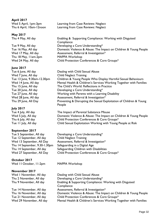**April 2017**

**May 2017**

Thu 18 May, 11am-2pm [MAPPA Workshop](http://www.brightonandhovelscb.org.uk/event/multi-agency-public-protection-arrangements-mappa-workshop-2/)

#### **June 2017**

Wed 7 June, All day [Child Neglect Training](http://www.brightonandhovelscb.org.uk/event/child-neglect-training/)

#### **July 2017**

#### **September 2017**

Tue 12 September, All day [Child Neglect Training](http://www.brightonandhovelscb.org.uk/event/child-neglect-training/)  Thu 14 September, 9.30-1.30pm Safeguarding in a Digital Age

#### **October 2017**

Wed II October, II-2pm [MAPPA Workshop](http://www.brightonandhovelscb.org.uk/event/multi-agency-public-protection-arrangements-mappa-workshop-2/)

#### **November 2017**

Wed 5 April, 1pm-3pm [Learning from Case Reviews: Neglect](http://brightonandhovelscb.org.uk/event/learning-from-case-reviews-neglect/) Thu 6 April, 10am-12noon [Learning from Case Reviews: Neglect](http://brightonandhovelscb.org.uk/event/learning-from-case-reviews-neglect/)

Thu 4 May, All day [Enabling & Supporting Compliance: Working with Disguised](http://www.brightonandhovelscb.org.uk/event/disguised-compliance/)  **Compliance** Tue 9 May, All day **Developing a Core Understanding**\* Tue 16 May, All day [Domestic Violence & Abuse: The Impact on Children & Young People](http://www.brightonandhovelscb.org.uk/event/domestic-violence-abuse-the-impact-on-children-young-people/) Wed 17 May, All day **[Assessment, Referral & Investigation\\*](http://www.brightonandhovelscb.org.uk/event/assessment-referral-investigation/)** Wed 24 May, All day **Child Protection Conferences & Core Groups**\*

Tue 6 June, All day [Dealing with Child Sexual Abuse](http://brightonandhovelscb.org.uk/event/dealing-with-child-sexual-abuse-2/) Tue 13 June, 9.30am-12.30pm [Children & Young People Who Display Harmful Sexual Behaviours](http://brightonandhovelscb.org.uk/event/children-young-people-who-display-harmful-sexual-behaviours-2/)  Wed 14 June, All day [Mental Health & Children's Services Working](http://www.brightonandhovelscb.org.uk/event/mental-health-childrens-services-working-together-with-families/) Together with Families Thu 15 June, All day [The Child's World: Reflections in Practice](http://brightonandhovelscb.org.uk/event/the-childs-world-reflections-in-practice-communicating-with-children-young-people/)  Tue 20 June, All day [Developing a Core Understanding\\*](http://www.brightonandhovelscb.org.uk/event/developing-a-core-understanding-3/) Tue 27 June, All day [Working with Parents with a Learning Disability](http://brightonandhovelscb.org.uk/event/working-with-parents-with-a-learning-disability/) Wed 28 June, All day **Assessment, Referral & Investigation**\* Thu 29 June, All Day **Preventing & Disrupting the Sexual Exploitation of Children & Young** [People](http://www.brightonandhovelscb.org.uk/event/preventing-disrupting-the-sexual-exploitation-of-children-young-people/) 

Tue 4 July, All day [The Impact of Parental Substance Misuse](http://brightonandhovelscb.org.uk/event/substance-misuse-parenting-capacity/) Wed 5 July, All day **[Domestic Violence & Abuse: The Impact on Children & Young People](http://www.brightonandhovelscb.org.uk/event/domestic-violence-abuse-the-impact-on-children-young-people/)** Thu 6 July, All day [Child Protection Conferences & Core Groups\\*](http://www.brightonandhovelscb.org.uk/event/child-protection-conferences-core-groups/) Tue 11 July, All day [Child Sexual Exploitation Working with Young People at Risk](http://www.brightonandhovelscb.org.uk/event/child-sexual-exploitation-working-with-young-people-at-risk/) 

Tue 5 September, All day [Developing a Core Understanding\\*](http://www.brightonandhovelscb.org.uk/event/developing-a-core-understanding-3/) Wed 13 September, All Day [Assessment, Referral & Investigation\\*](http://www.brightonandhovelscb.org.uk/event/assessment-referral-investigation/) Thu 14 September, All day Safeguarding Children with Disabilities Wed 27 September, All Day [Child Protection Conferences & Core Groups\\*](http://www.brightonandhovelscb.org.uk/event/child-protection-conferences-core-groups/)

Wed I November, All day **[Dealing with Child Sexual Abuse](http://brightonandhovelscb.org.uk/event/dealing-with-child-sexual-abuse-2/)** Thu 2 November, All day [Developing a Core Understanding\\*](http://www.brightonandhovelscb.org.uk/event/developing-a-core-understanding-3/) Thu 9 November, All day **Enabling & Supporting Compliance: Working with Disguised Compliance** Tue 14 November, All day **[Assessment, Referral & Investigation\\*](http://www.brightonandhovelscb.org.uk/event/assessment-referral-investigation/)** Thu 16 November, All day [Domestic Violence & Abuse: The Impact on Children & Young People](http://www.brightonandhovelscb.org.uk/event/domestic-violence-abuse-the-impact-on-children-young-people/) Tue 21 November, All day [Child Protection Conferences & Core Groups\\*](http://www.brightonandhovelscb.org.uk/event/child-protection-conferences-core-groups/) Wed 29 November, All day [Mental Health & Children's Services Working Together with Families](http://www.brightonandhovelscb.org.uk/event/mental-health-childrens-services-working-together-with-families/)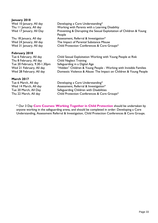| January 2018                 |                                                                               |
|------------------------------|-------------------------------------------------------------------------------|
| Wed 10 January, All day      | Developing a Core Understanding*                                              |
| Thu II January, All day      | Working with Parents with a Learning Disability                               |
| Wed 17 January, All Day      | Preventing & Disrupting the Sexual Exploitation of Children & Young<br>People |
| Thu 18 January, All day      | Assessment, Referral & Investigation*                                         |
| Wed 24 January, All day      | The Impact of Parental Substance Misuse                                       |
| Wed 31 January, All day      | Child Protection Conferences & Core Groups*                                   |
| February 2018                |                                                                               |
| Tue 6 February, All day      | Child Sexual Exploitation Working with Young People at Risk                   |
| Thu 8 February, All day      | <b>Child Neglect Training</b>                                                 |
| Tue 20 February, 9.30-1.30pm | Safeguarding in a Digital Age                                                 |
| Wed 21 February, All day     | "Hidden" Children & Young People - Working with Invisible Families            |
| Wed 28 February, All day     | Domestic Violence & Abuse: The Impact on Children & Young People              |
| <b>March 2017</b>            |                                                                               |
|                              |                                                                               |

Tue 6 March, All day [Developing a Core Understanding\\*](http://www.brightonandhovelscb.org.uk/event/developing-a-core-understanding-3/) Wed 14 March, All day **[Assessment, Referral & Investigation\\*](http://www.brightonandhovelscb.org.uk/event/assessment-referral-investigation/)** Tue 20 March, All Day Safeguarding Children with Disabilities Thu 22 March, All day [Child Protection Conferences & Core Groups\\*](http://www.brightonandhovelscb.org.uk/event/child-protection-conferences-core-groups/)

\* Our 3 Day **Core Courses: Working Together in Child Protection** should be undertaken by anyone working in the safeguarding arena, and should be completed in order: Developing a Core

Understanding, Assessment Referral & Investigation, Child Protection Conferences & Core Groups.